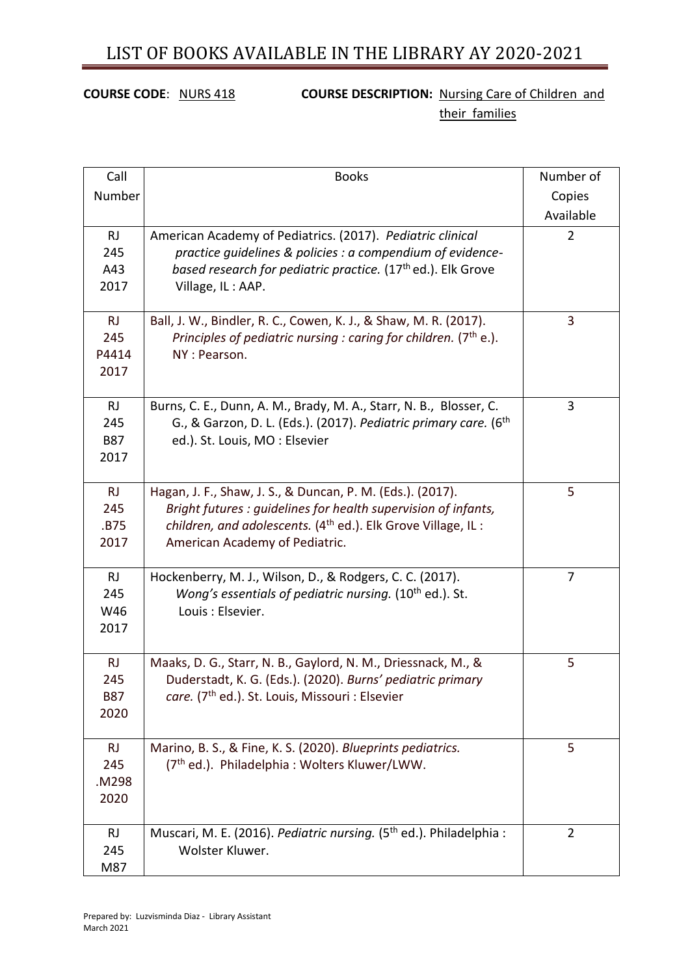## **COURSE CODE:** NURS 418 **COURSE DESCRIPTION:** Nursing Care of Children and their families

| Call                                   | <b>Books</b>                                                                                                                                                                                                                                | Number of      |
|----------------------------------------|---------------------------------------------------------------------------------------------------------------------------------------------------------------------------------------------------------------------------------------------|----------------|
| Number                                 |                                                                                                                                                                                                                                             | Copies         |
|                                        |                                                                                                                                                                                                                                             | Available      |
| RJ<br>245<br>A43<br>2017               | American Academy of Pediatrics. (2017). Pediatric clinical<br>practice guidelines & policies : a compendium of evidence-<br>based research for pediatric practice. (17 <sup>th</sup> ed.). Elk Grove<br>Village, IL: AAP.                   | $\overline{2}$ |
| RJ<br>245<br>P4414<br>2017             | Ball, J. W., Bindler, R. C., Cowen, K. J., & Shaw, M. R. (2017).<br>Principles of pediatric nursing : caring for children. ( $7th$ e.).<br>NY: Pearson.                                                                                     | 3              |
| RJ<br>245<br><b>B87</b><br>2017        | Burns, C. E., Dunn, A. M., Brady, M. A., Starr, N. B., Blosser, C.<br>G., & Garzon, D. L. (Eds.). (2017). Pediatric primary care. (6 <sup>th</sup><br>ed.). St. Louis, MO: Elsevier                                                         | 3              |
| <b>RJ</b><br>245<br>.B75<br>2017       | Hagan, J. F., Shaw, J. S., & Duncan, P. M. (Eds.). (2017).<br>Bright futures : guidelines for health supervision of infants,<br>children, and adolescents. (4 <sup>th</sup> ed.). Elk Grove Village, IL :<br>American Academy of Pediatric. | 5              |
| RJ<br>245<br>W46<br>2017               | Hockenberry, M. J., Wilson, D., & Rodgers, C. C. (2017).<br>Wong's essentials of pediatric nursing. (10 <sup>th</sup> ed.). St.<br>Louis: Elsevier.                                                                                         | $\overline{7}$ |
| <b>RJ</b><br>245<br><b>B87</b><br>2020 | Maaks, D. G., Starr, N. B., Gaylord, N. M., Driessnack, M., &<br>Duderstadt, K. G. (Eds.). (2020). Burns' pediatric primary<br>care. (7 <sup>th</sup> ed.). St. Louis, Missouri : Elsevier                                                  | 5              |
| <b>RJ</b><br>245<br>M298.<br>2020      | Marino, B. S., & Fine, K. S. (2020). Blueprints pediatrics.<br>(7 <sup>th</sup> ed.). Philadelphia: Wolters Kluwer/LWW.                                                                                                                     | 5              |
| <b>RJ</b><br>245<br>M87                | Muscari, M. E. (2016). Pediatric nursing. (5 <sup>th</sup> ed.). Philadelphia :<br>Wolster Kluwer.                                                                                                                                          | $\overline{2}$ |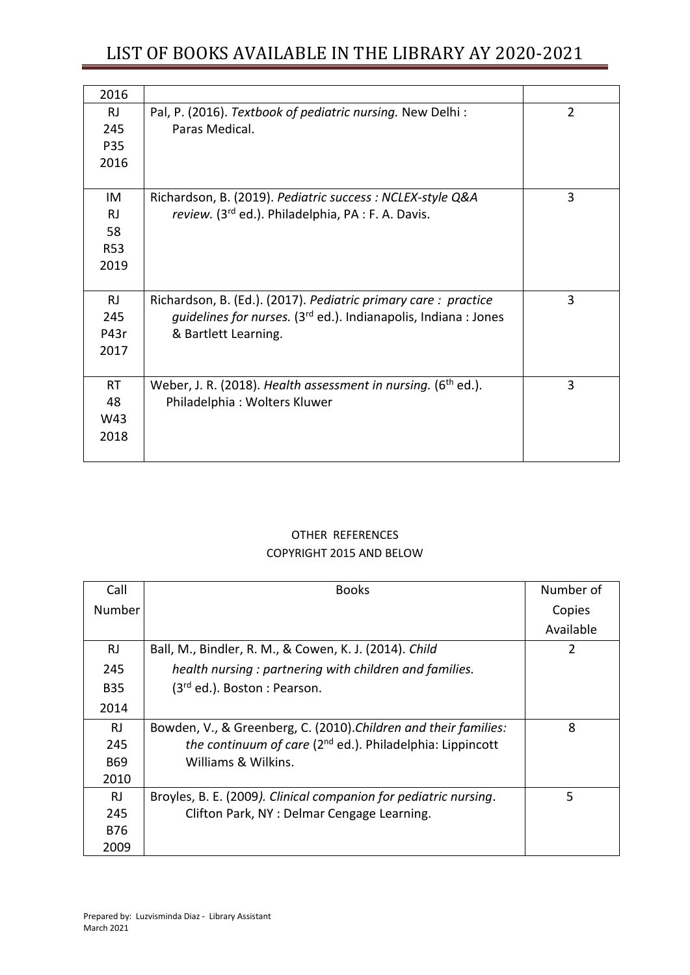# LIST OF BOOKS AVAILABLE IN THE LIBRARY AY 2020-2021

| 2016       |                                                                             |                |
|------------|-----------------------------------------------------------------------------|----------------|
| R.         | Pal, P. (2016). Textbook of pediatric nursing. New Delhi:                   | $\overline{2}$ |
| 245        | Paras Medical.                                                              |                |
| P35        |                                                                             |                |
| 2016       |                                                                             |                |
|            |                                                                             |                |
| IM         | Richardson, B. (2019). Pediatric success : NCLEX-style Q&A                  | 3              |
| <b>RJ</b>  | review. (3rd ed.). Philadelphia, PA : F. A. Davis.                          |                |
| 58         |                                                                             |                |
| <b>R53</b> |                                                                             |                |
| 2019       |                                                                             |                |
|            |                                                                             |                |
| <b>RJ</b>  | Richardson, B. (Ed.). (2017). Pediatric primary care: practice              | 3              |
| 245        | quidelines for nurses. (3 <sup>rd</sup> ed.). Indianapolis, Indiana : Jones |                |
| P43r       | & Bartlett Learning.                                                        |                |
| 2017       |                                                                             |                |
|            |                                                                             |                |
| <b>RT</b>  | Weber, J. R. (2018). Health assessment in nursing. (6 <sup>th</sup> ed.).   | 3              |
| 48         | Philadelphia: Wolters Kluwer                                                |                |
| W43        |                                                                             |                |
| 2018       |                                                                             |                |
|            |                                                                             |                |

### OTHER REFERENCES COPYRIGHT 2015 AND BELOW

| Call       | <b>Books</b>                                                          | Number of      |
|------------|-----------------------------------------------------------------------|----------------|
| Number     |                                                                       | Copies         |
|            |                                                                       | Available      |
| <b>RJ</b>  | Ball, M., Bindler, R. M., & Cowen, K. J. (2014). Child                | $\overline{2}$ |
| 245        | health nursing: partnering with children and families.                |                |
| <b>B35</b> | (3 <sup>rd</sup> ed.). Boston : Pearson.                              |                |
| 2014       |                                                                       |                |
| RJ.        | Bowden, V., & Greenberg, C. (2010). Children and their families:      | 8              |
| 245        | the continuum of care (2 <sup>nd</sup> ed.). Philadelphia: Lippincott |                |
| <b>B69</b> | Williams & Wilkins.                                                   |                |
| 2010       |                                                                       |                |
| RJ.        | Broyles, B. E. (2009). Clinical companion for pediatric nursing.      | 5              |
| 245        | Clifton Park, NY: Delmar Cengage Learning.                            |                |
| <b>B76</b> |                                                                       |                |
| 2009       |                                                                       |                |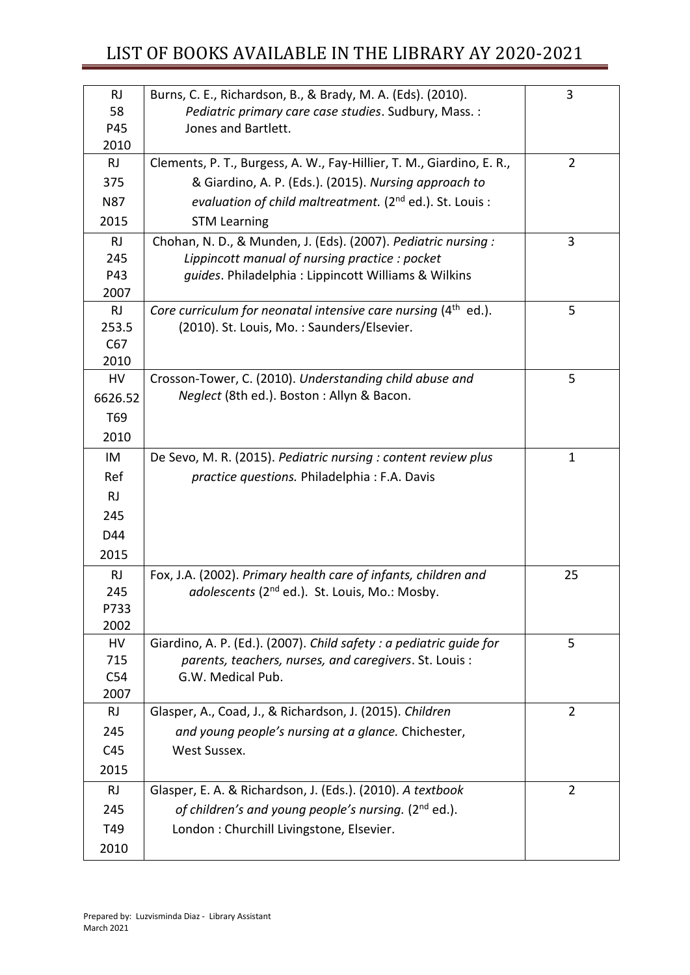| <b>RJ</b><br>58 | Burns, C. E., Richardson, B., & Brady, M. A. (Eds). (2010).<br>Pediatric primary care case studies. Sudbury, Mass. : | 3              |
|-----------------|----------------------------------------------------------------------------------------------------------------------|----------------|
| P45             | Jones and Bartlett.                                                                                                  |                |
| 2010            |                                                                                                                      |                |
| <b>RJ</b>       | Clements, P. T., Burgess, A. W., Fay-Hillier, T. M., Giardino, E. R.,                                                | $\overline{2}$ |
| 375             | & Giardino, A. P. (Eds.). (2015). Nursing approach to                                                                |                |
| <b>N87</b>      | evaluation of child maltreatment. (2 <sup>nd</sup> ed.). St. Louis :                                                 |                |
| 2015            | <b>STM Learning</b>                                                                                                  |                |
| <b>RJ</b>       | Chohan, N. D., & Munden, J. (Eds). (2007). Pediatric nursing :                                                       | 3              |
| 245             | Lippincott manual of nursing practice: pocket                                                                        |                |
| P43             | guides. Philadelphia: Lippincott Williams & Wilkins                                                                  |                |
| 2007            |                                                                                                                      |                |
| <b>RJ</b>       | Core curriculum for neonatal intensive care nursing $(4th$ ed.).                                                     | 5              |
| 253.5           | (2010). St. Louis, Mo.: Saunders/Elsevier.                                                                           |                |
| C67             |                                                                                                                      |                |
| 2010            |                                                                                                                      |                |
| HV              | Crosson-Tower, C. (2010). Understanding child abuse and                                                              | 5              |
| 6626.52         | Neglect (8th ed.). Boston: Allyn & Bacon.                                                                            |                |
| T69             |                                                                                                                      |                |
| 2010            |                                                                                                                      |                |
| IM              | De Sevo, M. R. (2015). Pediatric nursing : content review plus                                                       | $\mathbf{1}$   |
| Ref             | practice questions. Philadelphia : F.A. Davis                                                                        |                |
| RJ              |                                                                                                                      |                |
| 245             |                                                                                                                      |                |
| D44             |                                                                                                                      |                |
| 2015            |                                                                                                                      |                |
| RJ              | Fox, J.A. (2002). Primary health care of infants, children and                                                       | 25             |
| 245             | adolescents (2 <sup>nd</sup> ed.). St. Louis, Mo.: Mosby.                                                            |                |
| P733            |                                                                                                                      |                |
| 2002            |                                                                                                                      |                |
| HV              | Giardino, A. P. (Ed.). (2007). Child safety: a pediatric guide for                                                   | 5              |
| 715             | parents, teachers, nurses, and caregivers. St. Louis:                                                                |                |
| C54             | G.W. Medical Pub.                                                                                                    |                |
| 2007            |                                                                                                                      | $\overline{2}$ |
| <b>RJ</b>       | Glasper, A., Coad, J., & Richardson, J. (2015). Children                                                             |                |
| 245             | and young people's nursing at a glance. Chichester,                                                                  |                |
| C45             | West Sussex.                                                                                                         |                |
| 2015            |                                                                                                                      |                |
| <b>RJ</b>       | Glasper, E. A. & Richardson, J. (Eds.). (2010). A textbook                                                           | $\overline{2}$ |
| 245             | of children's and young people's nursing. (2 <sup>nd</sup> ed.).                                                     |                |
| T49             | London : Churchill Livingstone, Elsevier.                                                                            |                |
| 2010            |                                                                                                                      |                |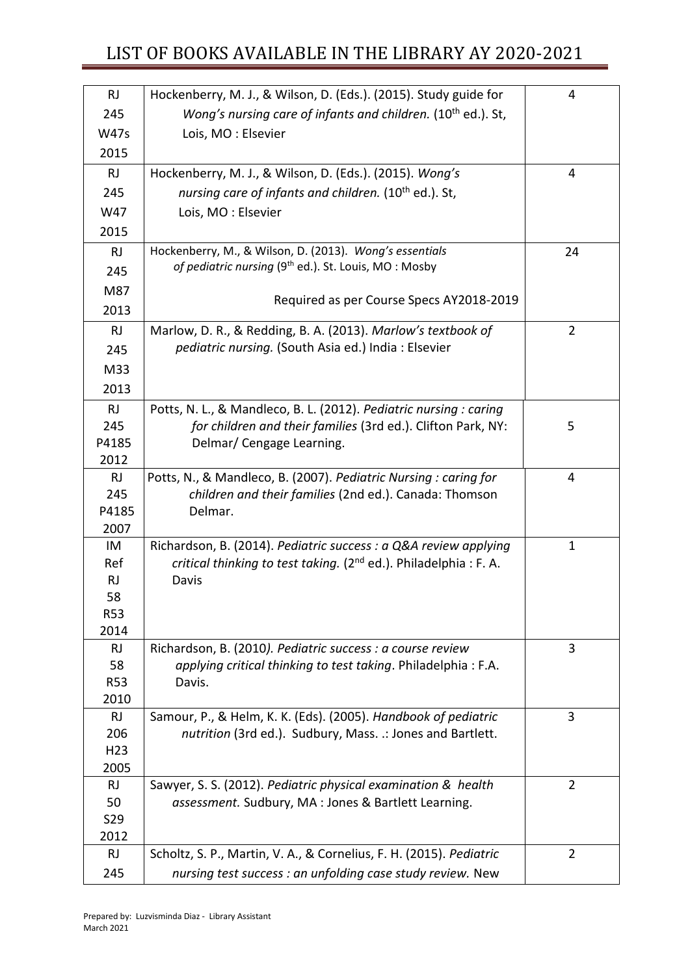# LIST OF BOOKS AVAILABLE IN THE LIBRARY AY 2020-2021

| <b>RJ</b>         | Hockenberry, M. J., & Wilson, D. (Eds.). (2015). Study guide for                                                      | 4              |
|-------------------|-----------------------------------------------------------------------------------------------------------------------|----------------|
| 245               | Wong's nursing care of infants and children. (10 <sup>th</sup> ed.). St,                                              |                |
| <b>W47s</b>       | Lois, MO: Elsevier                                                                                                    |                |
| 2015              |                                                                                                                       |                |
| <b>RJ</b>         | Hockenberry, M. J., & Wilson, D. (Eds.). (2015). Wong's                                                               | 4              |
| 245               | nursing care of infants and children. (10 <sup>th</sup> ed.). St,                                                     |                |
| W47               | Lois, MO: Elsevier                                                                                                    |                |
| 2015              |                                                                                                                       |                |
| <b>RJ</b>         | Hockenberry, M., & Wilson, D. (2013). Wong's essentials                                                               | 24             |
| 245               | of pediatric nursing (9 <sup>th</sup> ed.). St. Louis, MO: Mosby                                                      |                |
| M87               |                                                                                                                       |                |
| 2013              | Required as per Course Specs AY2018-2019                                                                              |                |
| <b>RJ</b>         | Marlow, D. R., & Redding, B. A. (2013). Marlow's textbook of                                                          | $\overline{2}$ |
| 245               | pediatric nursing. (South Asia ed.) India: Elsevier                                                                   |                |
| M33               |                                                                                                                       |                |
|                   |                                                                                                                       |                |
| 2013              |                                                                                                                       |                |
| <b>RJ</b>         | Potts, N. L., & Mandleco, B. L. (2012). Pediatric nursing : caring                                                    |                |
| 245               | for children and their families (3rd ed.). Clifton Park, NY:                                                          | 5              |
| P4185             | Delmar/ Cengage Learning.                                                                                             |                |
| 2012<br><b>RJ</b> | Potts, N., & Mandleco, B. (2007). Pediatric Nursing: caring for                                                       | 4              |
| 245               | children and their families (2nd ed.). Canada: Thomson                                                                |                |
| P4185             | Delmar.                                                                                                               |                |
| 2007              |                                                                                                                       |                |
| IM                | Richardson, B. (2014). Pediatric success : a Q&A review applying                                                      | 1              |
| Ref               | critical thinking to test taking. (2 <sup>nd</sup> ed.). Philadelphia : F. A.                                         |                |
| RJ                | Davis                                                                                                                 |                |
| 58                |                                                                                                                       |                |
| <b>R53</b>        |                                                                                                                       |                |
| 2014              |                                                                                                                       |                |
| <b>RJ</b>         | Richardson, B. (2010). Pediatric success : a course review                                                            | 3              |
| 58                | applying critical thinking to test taking. Philadelphia: F.A.                                                         |                |
| <b>R53</b>        | Davis.                                                                                                                |                |
| 2010              |                                                                                                                       |                |
| <b>RJ</b>         | Samour, P., & Helm, K. K. (Eds). (2005). Handbook of pediatric                                                        | 3              |
| 206               | nutrition (3rd ed.). Sudbury, Mass. .: Jones and Bartlett.                                                            |                |
| H <sub>23</sub>   |                                                                                                                       |                |
| 2005              |                                                                                                                       |                |
| <b>RJ</b><br>50   | Sawyer, S. S. (2012). Pediatric physical examination & health<br>assessment. Sudbury, MA : Jones & Bartlett Learning. | $\overline{2}$ |
| S29               |                                                                                                                       |                |
| 2012              |                                                                                                                       |                |
| <b>RJ</b>         | Scholtz, S. P., Martin, V. A., & Cornelius, F. H. (2015). Pediatric                                                   | $\overline{2}$ |
| 245               | nursing test success : an unfolding case study review. New                                                            |                |
|                   |                                                                                                                       |                |